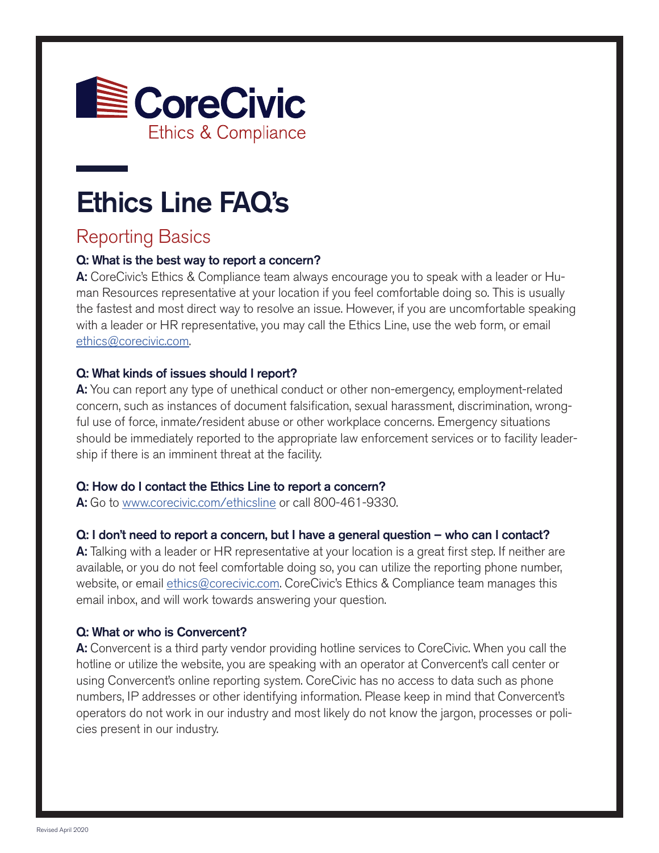

# Ethics Line FAQ's

# Reporting Basics

## Q: What is the best way to report a concern?

A: CoreCivic's Ethics & Compliance team always encourage you to speak with a leader or Human Resources representative at your location if you feel comfortable doing so. This is usually the fastest and most direct way to resolve an issue. However, if you are uncomfortable speaking with a leader or HR representative, you may call the Ethics Line, use the web form, or email [ethics@corecivic.com.](mailto:ethics%40corecivic.com?subject=)

### Q: What kinds of issues should I report?

A: You can report any type of unethical conduct or other non-emergency, employment-related concern, such as instances of document falsification, sexual harassment, discrimination, wrongful use of force, inmate/resident abuse or other workplace concerns. Emergency situations should be immediately reported to the appropriate law enforcement services or to facility leadership if there is an imminent threat at the facility.

#### Q: How do I contact the Ethics Line to report a concern?

A: Go to [www.corecivic.com/ethicsline](http://www.corecivic.com/ethicsline) or call 800-461-9330.

#### Q: I don't need to report a concern, but I have a general question – who can I contact?

A: Talking with a leader or HR representative at your location is a great first step. If neither are available, or you do not feel comfortable doing so, you can utilize the reporting phone number, website, or email [ethics@corecivic.com.](mailto:ethics%40corecivic.com?subject=) CoreCivic's Ethics & Compliance team manages this email inbox, and will work towards answering your question.

#### Q: What or who is Convercent?

A: Convercent is a third party vendor providing hotline services to CoreCivic. When you call the hotline or utilize the website, you are speaking with an operator at Convercent's call center or using Convercent's online reporting system. CoreCivic has no access to data such as phone numbers, IP addresses or other identifying information. Please keep in mind that Convercent's operators do not work in our industry and most likely do not know the jargon, processes or policies present in our industry.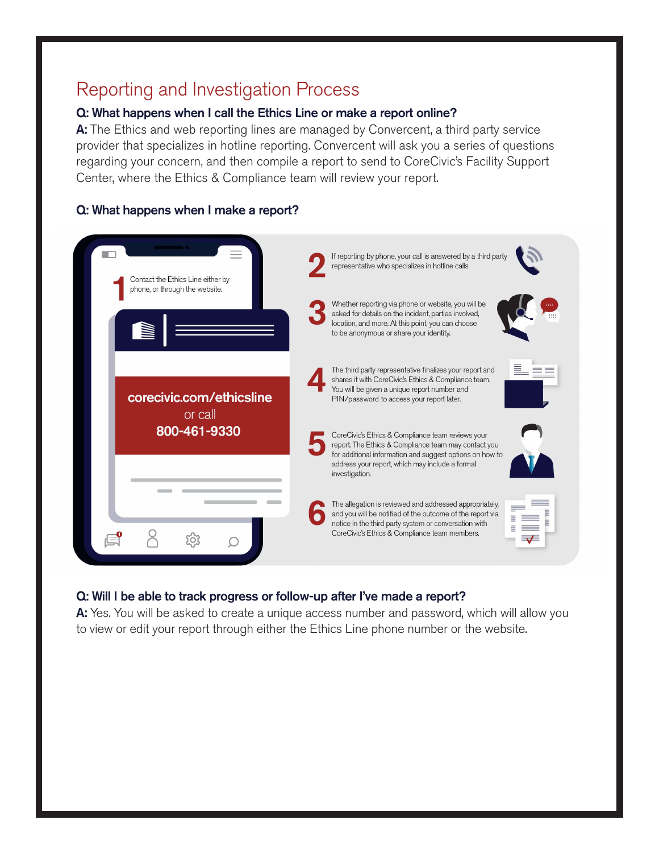# Reporting and Investigation Process

#### Q: What happens when I call the Ethics Line or make a report online?

A: The Ethics and web reporting lines are managed by Convercent, a third party service provider that specializes in hotline reporting. Convercent will ask you a series of questions regarding your concern, and then compile a report to send to CoreCivic's Facility Support Center, where the Ethics & Compliance team will review your report.

#### Q: What happens when I make a report?

| Contact the Ethics Line either by | If reporting by phone, your call is answered by a third party<br>representative who specializes in hotline calls.                                                                                                                          |
|-----------------------------------|--------------------------------------------------------------------------------------------------------------------------------------------------------------------------------------------------------------------------------------------|
| phone, or through the website.    | Whether reporting via phone or website, you will be<br>asked for details on the incident, parties involved,<br>location, and more. At this point, you can choose<br>to be anonymous or share your identity.                                |
| corecivic.com/ethicsline          | 昌<br>The third party representative finalizes your report and<br>shares it with CoreCivic's Ethics & Compliance team.<br>You will be given a unique report number and<br>PIN/password to access your report later.                         |
| or call<br>800-461-9330           | CoreCivic's Ethics & Compliance team reviews your<br>report. The Ethics & Compliance team may contact you<br>for additional information and suggest options on how to<br>address your report, which may include a formal<br>investigation. |
|                                   | The allegation is reviewed and addressed appropriately,<br>and you will be notified of the outcome of the report via<br>notice in the third party system or conversation with<br>CoreCivic's Ethics & Compliance team members.             |

#### Q: Will I be able to track progress or follow-up after I've made a report?

A: Yes. You will be asked to create a unique access number and password, which will allow you to view or edit your report through either the Ethics Line phone number or the website.